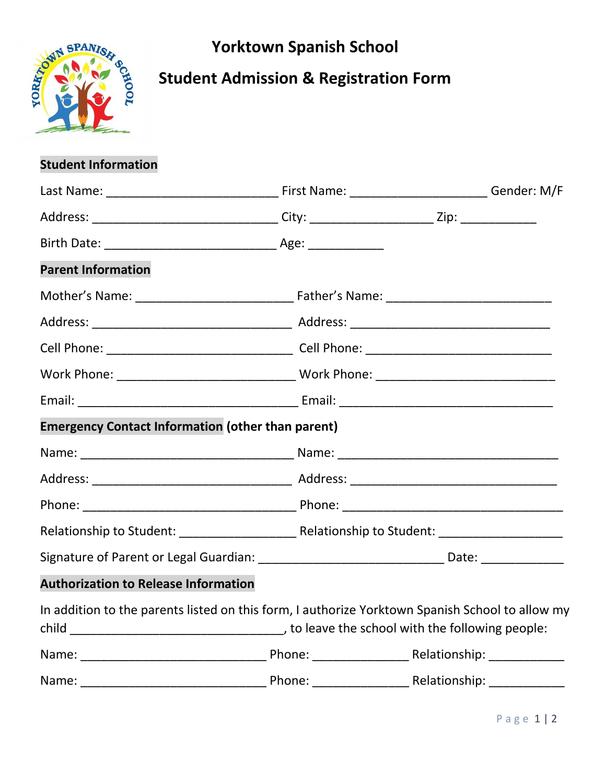



## **Student Admission & Registration Form**

## **Student Information**

| Address: __________________________________City: _________________________Zip: ____________________ |  |  |
|-----------------------------------------------------------------------------------------------------|--|--|
|                                                                                                     |  |  |
| <b>Parent Information</b>                                                                           |  |  |
|                                                                                                     |  |  |
|                                                                                                     |  |  |
|                                                                                                     |  |  |
|                                                                                                     |  |  |
|                                                                                                     |  |  |
| <b>Emergency Contact Information (other than parent)</b>                                            |  |  |
|                                                                                                     |  |  |
|                                                                                                     |  |  |
|                                                                                                     |  |  |
|                                                                                                     |  |  |
| Signature of Parent or Legal Guardian: __________________________________Date: ____________________ |  |  |
| <b>Authorization to Release Information</b>                                                         |  |  |
| In addition to the parents listed on this form, I authorize Yorktown Spanish School to allow my     |  |  |
|                                                                                                     |  |  |
| Name:                                                                                               |  |  |